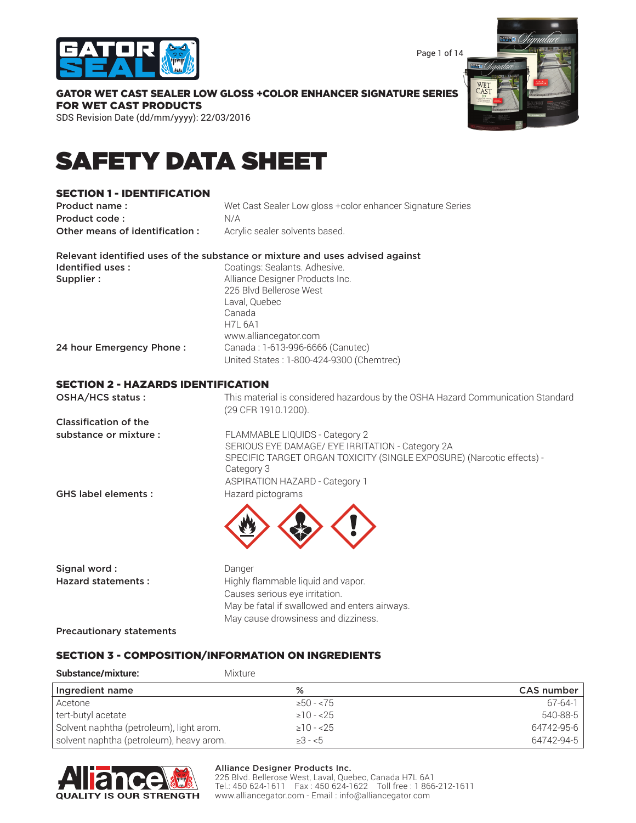

Page 1 of 14

GATOR WET CAST SEALER LOW GLOSS +COLOR ENHANCER SIGNATURE SERIES FOR WET CAST PRODUCTS

SDS Revision Date (dd/mm/yyyy): 22/03/2016

# SAFETY DATA SHEET

### SECTION 1 - IDENTIFICATION

| Product name:                             | Wet Cast Sealer Low gloss +color enhancer Signature Series                                             |
|-------------------------------------------|--------------------------------------------------------------------------------------------------------|
| Product code:                             | N/A                                                                                                    |
| Other means of identification:            | Acrylic sealer solvents based.                                                                         |
|                                           | Relevant identified uses of the substance or mixture and uses advised against                          |
| Identified uses:                          | Coatings: Sealants. Adhesive.                                                                          |
| Supplier:                                 | Alliance Designer Products Inc.                                                                        |
|                                           | 225 Blvd Bellerose West                                                                                |
|                                           | Laval, Quebec                                                                                          |
|                                           | Canada                                                                                                 |
|                                           | <b>H7L 6A1</b>                                                                                         |
|                                           | www.alliancegator.com                                                                                  |
| 24 hour Emergency Phone:                  | Canada: 1-613-996-6666 (Canutec)                                                                       |
|                                           | United States: 1-800-424-9300 (Chemtrec)                                                               |
| <b>SECTION 2 - HAZARDS IDENTIFICATION</b> |                                                                                                        |
| OSHA/HCS status:                          | This material is considered hazardous by the OSHA Hazard Communication Standard<br>(29 CFR 1910.1200). |

Classification of the

substance or mixture : FLAMMABLE LIQUIDS - Category 2 SERIOUS EYE DAMAGE/ EYE IRRITATION - Category 2A SPECIFIC TARGET ORGAN TOXICITY (SINGLE EXPOSURE) (Narcotic effects) - Category 3 ASPIRATION HAZARD - Category 1

GHS label elements : Hazard pictograms



| Danger                                        |
|-----------------------------------------------|
| Highly flammable liquid and vapor.            |
| Causes serious eye irritation.                |
| May be fatal if swallowed and enters airways. |
| May cause drowsiness and dizziness.           |
|                                               |

Precautionary statements

### SECTION 3 - COMPOSITION/INFORMATION ON INGREDIENTS

| <b>Substance/mixture:</b>                | <b>Mixture</b> |               |
|------------------------------------------|----------------|---------------|
| Ingredient name                          | %              | CAS number    |
| Acetone                                  | $\geq 50 - 75$ | $67 - 64 - 1$ |
| tert-butyl acetate                       | $\geq 10 - 25$ | 540-88-5      |
| Solvent naphtha (petroleum), light arom. | $\geq 10 - 25$ | 64742-95-6    |
| solvent naphtha (petroleum), heavy arom. | $\geq 3 - 5$   | 64742-94-5    |



#### Alliance Designer Products Inc.

225 Blvd. Bellerose West, Laval, Quebec, Canada H7L 6A1 Tel.: 450 624-1611 Fax : 450 624-1622 Toll free : 1 866-212-1611 www.alliancegator.com - Email : info@alliancegator.com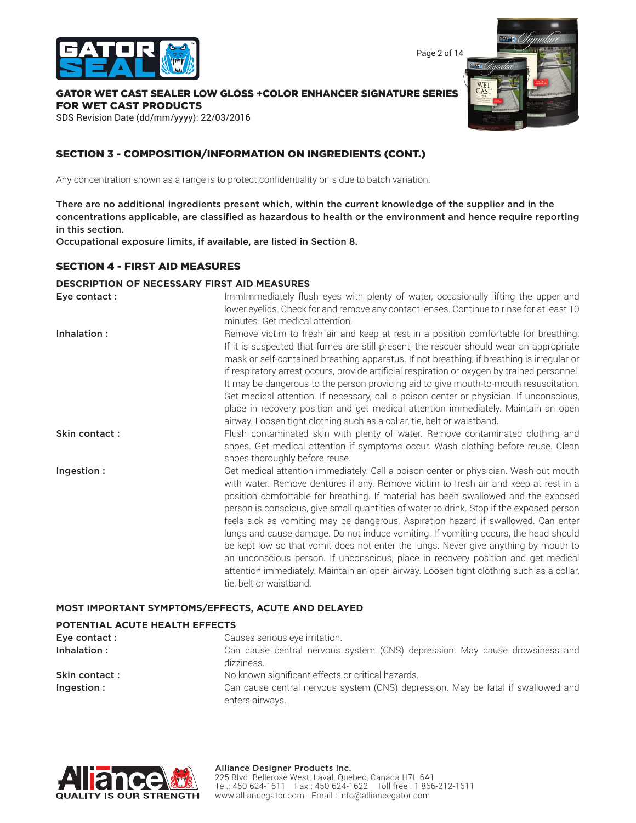

Page 2 of 14

### GATOR WET CAST SEALER LOW GLOSS +COLOR ENHANCER SIGNATURE SERIES FOR WET CAST PRODUCTS

SDS Revision Date (dd/mm/yyyy): 22/03/2016

### SECTION 3 - COMPOSITION/INFORMATION ON INGREDIENTS (CONT.)

Any concentration shown as a range is to protect confidentiality or is due to batch variation.

There are no additional ingredients present which, within the current knowledge of the supplier and in the concentrations applicable, are classified as hazardous to health or the environment and hence require reporting in this section.

Occupational exposure limits, if available, are listed in Section 8.

### SECTION 4 - FIRST AID MEASURES

#### **DESCRIPTION OF NECESSARY FIRST AID MEASURES**

| Eye contact : | ImmImmediately flush eyes with plenty of water, occasionally lifting the upper and<br>lower eyelids. Check for and remove any contact lenses. Continue to rinse for at least 10<br>minutes. Get medical attention.                                                                                                                                                                                                                                                                                                                                                                                                                                                                                                                                                                                                                            |
|---------------|-----------------------------------------------------------------------------------------------------------------------------------------------------------------------------------------------------------------------------------------------------------------------------------------------------------------------------------------------------------------------------------------------------------------------------------------------------------------------------------------------------------------------------------------------------------------------------------------------------------------------------------------------------------------------------------------------------------------------------------------------------------------------------------------------------------------------------------------------|
| Inhalation:   | Remove victim to fresh air and keep at rest in a position comfortable for breathing.<br>If it is suspected that fumes are still present, the rescuer should wear an appropriate<br>mask or self-contained breathing apparatus. If not breathing, if breathing is irregular or<br>if respiratory arrest occurs, provide artificial respiration or oxygen by trained personnel.<br>It may be dangerous to the person providing aid to give mouth-to-mouth resuscitation.<br>Get medical attention. If necessary, call a poison center or physician. If unconscious,<br>place in recovery position and get medical attention immediately. Maintain an open<br>airway. Loosen tight clothing such as a collar, tie, belt or waistband.                                                                                                            |
| Skin contact: | Flush contaminated skin with plenty of water. Remove contaminated clothing and<br>shoes. Get medical attention if symptoms occur. Wash clothing before reuse. Clean<br>shoes thoroughly before reuse.                                                                                                                                                                                                                                                                                                                                                                                                                                                                                                                                                                                                                                         |
| Ingestion:    | Get medical attention immediately. Call a poison center or physician. Wash out mouth<br>with water. Remove dentures if any. Remove victim to fresh air and keep at rest in a<br>position comfortable for breathing. If material has been swallowed and the exposed<br>person is conscious, give small quantities of water to drink. Stop if the exposed person<br>feels sick as vomiting may be dangerous. Aspiration hazard if swallowed. Can enter<br>lungs and cause damage. Do not induce vomiting. If vomiting occurs, the head should<br>be kept low so that vomit does not enter the lungs. Never give anything by mouth to<br>an unconscious person. If unconscious, place in recovery position and get medical<br>attention immediately. Maintain an open airway. Loosen tight clothing such as a collar,<br>tie, belt or waistband. |

#### **MOST IMPORTANT SYMPTOMS/EFFECTS, ACUTE AND DELAYED**

### **POTENTIAL ACUTE HEALTH EFFECTS**

| Eye contact :  | Causes serious eye irritation.                                                                      |
|----------------|-----------------------------------------------------------------------------------------------------|
| Inhalation:    | Can cause central nervous system (CNS) depression. May cause drowsiness and<br>dizziness.           |
| Skin contact : | No known significant effects or critical hazards.                                                   |
| Ingestion:     | Can cause central nervous system (CNS) depression. May be fatal if swallowed and<br>enters airways. |

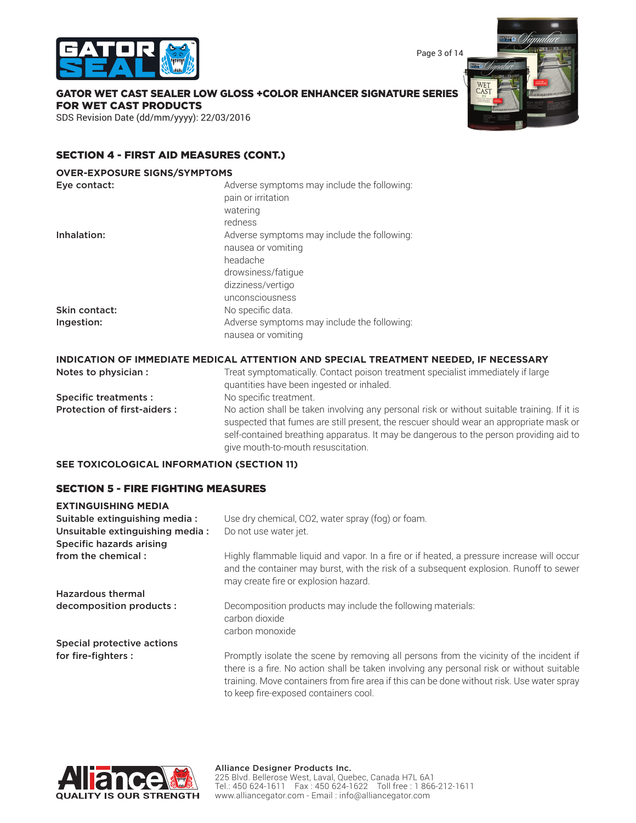



## GATOR WET CAST SEALER LOW GLOSS +COLOR ENHANCER SIGNATURE SERIES FOR WET CAST PRODUCTS

SDS Revision Date (dd/mm/yyyy): 22/03/2016

### SECTION 4 - FIRST AID MEASURES (CONT.)

#### **OVER-EXPOSURE SIGNS/SYMPTOMS**

| Eye contact:  | Adverse symptoms may include the following: |
|---------------|---------------------------------------------|
|               | pain or irritation                          |
|               | watering                                    |
|               | redness                                     |
| Inhalation:   | Adverse symptoms may include the following: |
|               | nausea or vomiting                          |
|               | headache                                    |
|               | drowsiness/fatique                          |
|               | dizziness/vertigo                           |
|               | unconsciousness                             |
| Skin contact: | No specific data.                           |
| Ingestion:    | Adverse symptoms may include the following: |
|               | nausea or vomiting                          |
|               |                                             |

#### **INDICATION OF IMMEDIATE MEDICAL ATTENTION AND SPECIAL TREATMENT NEEDED, IF NECESSARY**

| Notes to physician :               | Treat symptomatically. Contact poison treatment specialist immediately if large<br>quantities have been ingested or inhaled.                                                                                                                                                                                          |
|------------------------------------|-----------------------------------------------------------------------------------------------------------------------------------------------------------------------------------------------------------------------------------------------------------------------------------------------------------------------|
| <b>Specific treatments:</b>        | No specific treatment.                                                                                                                                                                                                                                                                                                |
| <b>Protection of first-aiders:</b> | No action shall be taken involving any personal risk or without suitable training. If it is<br>suspected that fumes are still present, the rescuer should wear an appropriate mask or<br>self-contained breathing apparatus. It may be dangerous to the person providing aid to<br>give mouth-to-mouth resuscitation. |

### **SEE TOXICOLOGICAL INFORMATION (SECTION 11)**

### SECTION 5 - FIRE FIGHTING MEASURES

### **EXTINGUISHING MEDIA** Suitable extinguishing media : Use dry chemical, CO2, water spray (fog) or foam. Unsuitable extinguishing media : Do not use water jet. Specific hazards arising from the chemical : Highly flammable liquid and vapor. In a fire or if heated, a pressure increase will occur and the container may burst, with the risk of a subsequent explosion. Runoff to sewer may create fire or explosion hazard. Hazardous thermal decomposition products : Decomposition products may include the following materials: carbon dioxide carbon monoxide Special protective actions for fire-fighters : Promptly isolate the scene by removing all persons from the vicinity of the incident if there is a fire. No action shall be taken involving any personal risk or without suitable training. Move containers from fire area if this can be done without risk. Use water spray

to keep fire-exposed containers cool.

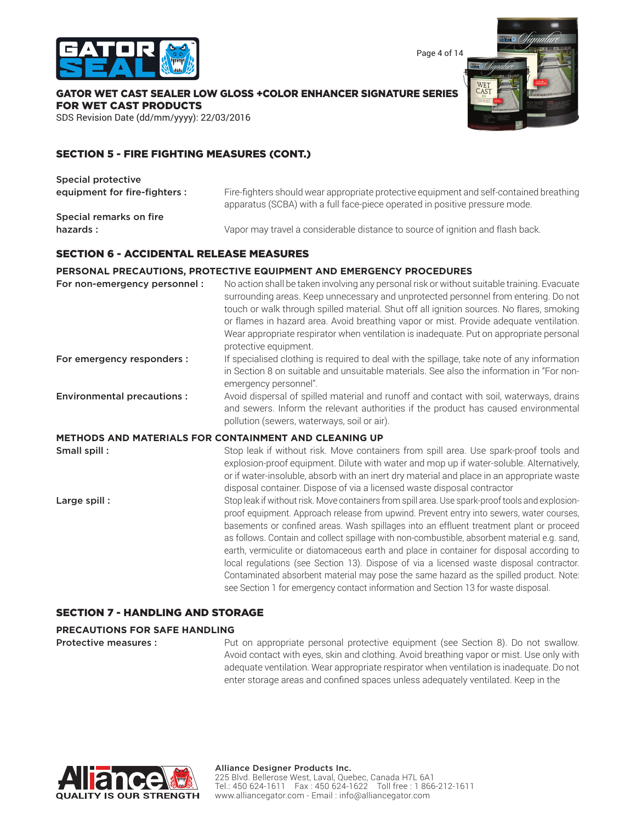

Page 4 of 14

GATOR WET CAST SEALER LOW GLOSS +COLOR ENHANCER SIGNATURE SERIES FOR WET CAST PRODUCTS

SDS Revision Date (dd/mm/yyyy): 22/03/2016

### SECTION 5 - FIRE FIGHTING MEASURES (CONT.)

| Special protective            |                                                                                                                                                                        |
|-------------------------------|------------------------------------------------------------------------------------------------------------------------------------------------------------------------|
| equipment for fire-fighters : | Fire-fighters should wear appropriate protective equipment and self-contained breathing<br>apparatus (SCBA) with a full face-piece operated in positive pressure mode. |
| Special remarks on fire       |                                                                                                                                                                        |
| hazards :                     | Vapor may travel a considerable distance to source of ignition and flash back.                                                                                         |
|                               |                                                                                                                                                                        |

### SECTION 6 - ACCIDENTAL RELEASE MEASURES

### **PERSONAL PRECAUTIONS, PROTECTIVE EQUIPMENT AND EMERGENCY PROCEDURES**

| For non-emergency personnel :     | No action shall be taken involving any personal risk or without suitable training. Evacuate<br>surrounding areas. Keep unnecessary and unprotected personnel from entering. Do not<br>touch or walk through spilled material. Shut off all ignition sources. No flares, smoking<br>or flames in hazard area. Avoid breathing vapor or mist. Provide adequate ventilation.<br>Wear appropriate respirator when ventilation is inadequate. Put on appropriate personal<br>protective equipment.                                                                                                                                                                                                                                                                    |
|-----------------------------------|------------------------------------------------------------------------------------------------------------------------------------------------------------------------------------------------------------------------------------------------------------------------------------------------------------------------------------------------------------------------------------------------------------------------------------------------------------------------------------------------------------------------------------------------------------------------------------------------------------------------------------------------------------------------------------------------------------------------------------------------------------------|
| For emergency responders :        | If specialised clothing is required to deal with the spillage, take note of any information<br>in Section 8 on suitable and unsuitable materials. See also the information in "For non-<br>emergency personnel".                                                                                                                                                                                                                                                                                                                                                                                                                                                                                                                                                 |
| <b>Environmental precautions:</b> | Avoid dispersal of spilled material and runoff and contact with soil, waterways, drains<br>and sewers. Inform the relevant authorities if the product has caused environmental<br>pollution (sewers, waterways, soil or air).                                                                                                                                                                                                                                                                                                                                                                                                                                                                                                                                    |
|                                   | <b>METHODS AND MATERIALS FOR CONTAINMENT AND CLEANING UP</b>                                                                                                                                                                                                                                                                                                                                                                                                                                                                                                                                                                                                                                                                                                     |
| Small spill:                      | Stop leak if without risk. Move containers from spill area. Use spark-proof tools and<br>explosion-proof equipment. Dilute with water and mop up if water-soluble. Alternatively,<br>or if water-insoluble, absorb with an inert dry material and place in an appropriate waste<br>disposal container. Dispose of via a licensed waste disposal contractor                                                                                                                                                                                                                                                                                                                                                                                                       |
| Large spill:                      | Stop leak if without risk. Move containers from spill area. Use spark-proof tools and explosion-<br>proof equipment. Approach release from upwind. Prevent entry into sewers, water courses,<br>basements or confined areas. Wash spillages into an effluent treatment plant or proceed<br>as follows. Contain and collect spillage with non-combustible, absorbent material e.g. sand,<br>earth, vermiculite or diatomaceous earth and place in container for disposal according to<br>local regulations (see Section 13). Dispose of via a licensed waste disposal contractor.<br>Contaminated absorbent material may pose the same hazard as the spilled product. Note:<br>see Section 1 for emergency contact information and Section 13 for waste disposal. |
| INA AND CTABAAE                   |                                                                                                                                                                                                                                                                                                                                                                                                                                                                                                                                                                                                                                                                                                                                                                  |

#### SECTION 7 - HANDLING AND STORAGE

### **PRECAUTIONS FOR SAFE HANDLING**

**Protective measures :** Put on appropriate personal protective equipment (see Section 8). Do not swallow. Avoid contact with eyes, skin and clothing. Avoid breathing vapor or mist. Use only with adequate ventilation. Wear appropriate respirator when ventilation is inadequate. Do not enter storage areas and confined spaces unless adequately ventilated. Keep in the

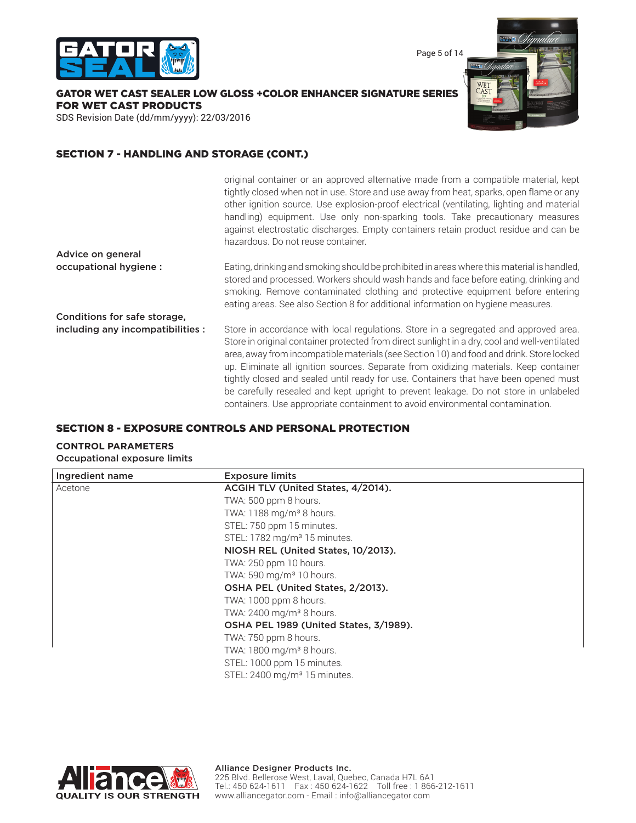

Page 5 of 14

GATOR WET CAST SEALER LOW GLOSS +COLOR ENHANCER SIGNATURE SERIES FOR WET CAST PRODUCTS

SDS Revision Date (dd/mm/yyyy): 22/03/2016

### SECTION 7 - HANDLING AND STORAGE (CONT.)

|                                   | original container or an approved alternative made from a compatible material, kept<br>tightly closed when not in use. Store and use away from heat, sparks, open flame or any<br>other ignition source. Use explosion-proof electrical (ventilating, lighting and material<br>handling) equipment. Use only non-sparking tools. Take precautionary measures<br>against electrostatic discharges. Empty containers retain product residue and can be<br>hazardous. Do not reuse container.                                                                                                                                                  |
|-----------------------------------|---------------------------------------------------------------------------------------------------------------------------------------------------------------------------------------------------------------------------------------------------------------------------------------------------------------------------------------------------------------------------------------------------------------------------------------------------------------------------------------------------------------------------------------------------------------------------------------------------------------------------------------------|
| Advice on general                 |                                                                                                                                                                                                                                                                                                                                                                                                                                                                                                                                                                                                                                             |
| occupational hygiene :            | Eating, drinking and smoking should be prohibited in areas where this material is handled,<br>stored and processed. Workers should wash hands and face before eating, drinking and<br>smoking. Remove contaminated clothing and protective equipment before entering<br>eating areas. See also Section 8 for additional information on hygiene measures.                                                                                                                                                                                                                                                                                    |
| Conditions for safe storage,      |                                                                                                                                                                                                                                                                                                                                                                                                                                                                                                                                                                                                                                             |
| including any incompatibilities : | Store in accordance with local regulations. Store in a segregated and approved area.<br>Store in original container protected from direct sunlight in a dry, cool and well-ventilated<br>area, away from incompatible materials (see Section 10) and food and drink. Store locked<br>up. Eliminate all ignition sources. Separate from oxidizing materials. Keep container<br>tightly closed and sealed until ready for use. Containers that have been opened must<br>be carefully resealed and kept upright to prevent leakage. Do not store in unlabeled<br>containers. Use appropriate containment to avoid environmental contamination. |

### SECTION 8 - EXPOSURE CONTROLS AND PERSONAL PROTECTION

#### **CONTROL PARAMETERS**

Occupational exposure limits

| Ingredient name | <b>Exposure limits</b>                   |  |
|-----------------|------------------------------------------|--|
| Acetone         | ACGIH TLV (United States, 4/2014).       |  |
|                 | TWA: 500 ppm 8 hours.                    |  |
|                 | TWA: 1188 mg/m <sup>3</sup> 8 hours.     |  |
|                 | STEL: 750 ppm 15 minutes.                |  |
|                 | STEL: 1782 mg/m <sup>3</sup> 15 minutes. |  |
|                 | NIOSH REL (United States, 10/2013).      |  |
|                 | TWA: 250 ppm 10 hours.                   |  |
|                 | TWA: 590 mg/m <sup>3</sup> 10 hours.     |  |
|                 | OSHA PEL (United States, 2/2013).        |  |
|                 | TWA: 1000 ppm 8 hours.                   |  |
|                 | TWA: 2400 mg/m <sup>3</sup> 8 hours.     |  |
|                 | OSHA PEL 1989 (United States, 3/1989).   |  |
|                 | TWA: 750 ppm 8 hours.                    |  |
|                 | TWA: 1800 mg/m <sup>3</sup> 8 hours.     |  |
|                 | STEL: 1000 ppm 15 minutes.               |  |
|                 | STEL: 2400 mg/m <sup>3</sup> 15 minutes. |  |



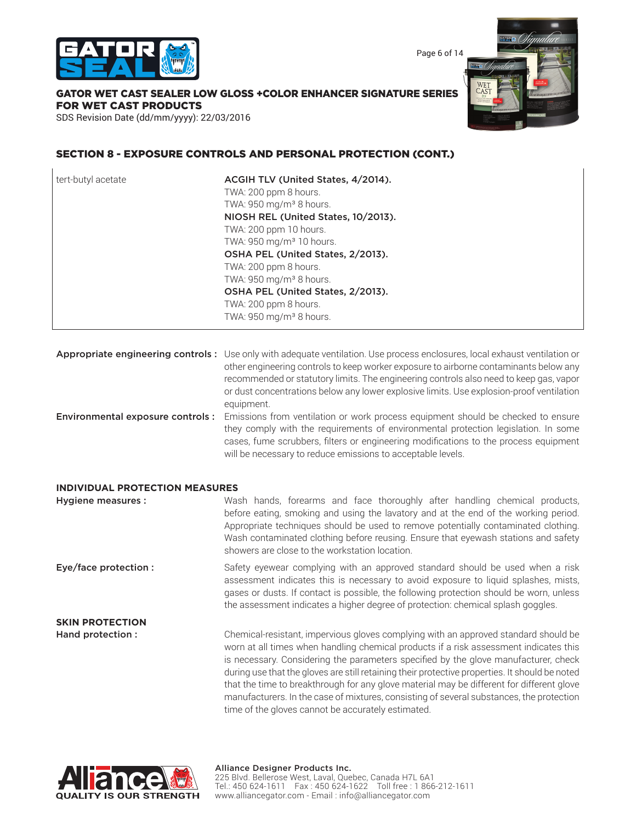

Page 6 of 14

## GATOR WET CAST SEALER LOW GLOSS +COLOR ENHANCER SIGNATURE SERIES FOR WET CAST PRODUCTS

SDS Revision Date (dd/mm/yyyy): 22/03/2016

### SECTION 8 - EXPOSURE CONTROLS AND PERSONAL PROTECTION (CONT.)

they comply with the requirements of environmental protection legislation. In some cases, fume scrubbers, filters or engineering modifications to the process equipment will be necessary to reduce emissions to acceptable levels.

#### **INDIVIDUAL PROTECTION MEASURES**

Hygiene measures : Wash hands, forearms and face thoroughly after handling chemical products, before eating, smoking and using the lavatory and at the end of the working period. Appropriate techniques should be used to remove potentially contaminated clothing. Wash contaminated clothing before reusing. Ensure that eyewash stations and safety showers are close to the workstation location. **Eye/face protection :** Safety eyewear complying with an approved standard should be used when a risk assessment indicates this is necessary to avoid exposure to liquid splashes, mists, gases or dusts. If contact is possible, the following protection should be worn, unless the assessment indicates a higher degree of protection: chemical splash goggles. **SKIN PROTECTION**

Hand protection : Chemical-resistant, impervious gloves complying with an approved standard should be worn at all times when handling chemical products if a risk assessment indicates this is necessary. Considering the parameters specified by the glove manufacturer, check during use that the gloves are still retaining their protective properties. It should be noted that the time to breakthrough for any glove material may be different for different glove manufacturers. In the case of mixtures, consisting of several substances, the protection time of the gloves cannot be accurately estimated.

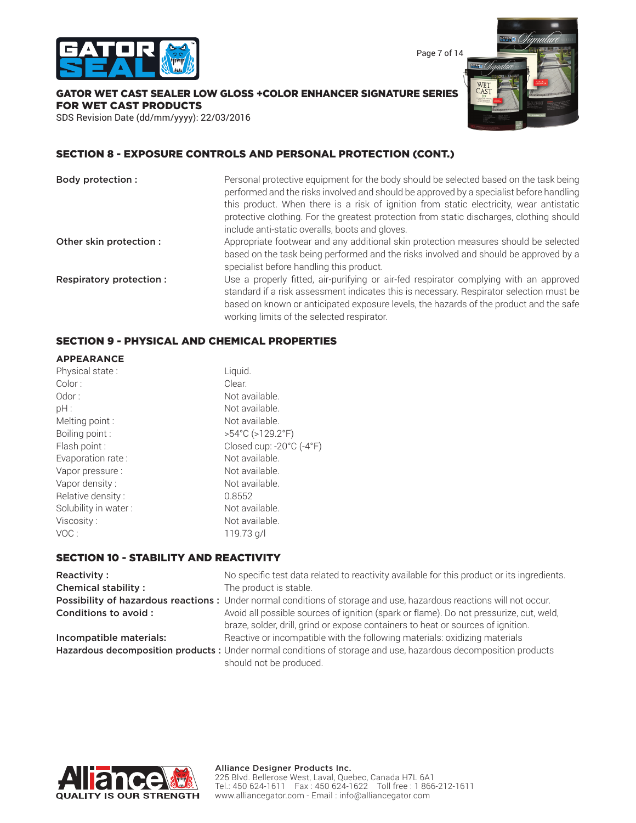

Page 7 of 14

GATOR WET CAST SEALER LOW GLOSS +COLOR ENHANCER SIGNATURE SERIES FOR WET CAST PRODUCTS

SDS Revision Date (dd/mm/yyyy): 22/03/2016



### SECTION 8 - EXPOSURE CONTROLS AND PERSONAL PROTECTION (CONT.)

| Body protection :        | Personal protective equipment for the body should be selected based on the task being<br>performed and the risks involved and should be approved by a specialist before handling<br>this product. When there is a risk of ignition from static electricity, wear antistatic<br>protective clothing. For the greatest protection from static discharges, clothing should<br>include anti-static overalls, boots and gloves. |
|--------------------------|----------------------------------------------------------------------------------------------------------------------------------------------------------------------------------------------------------------------------------------------------------------------------------------------------------------------------------------------------------------------------------------------------------------------------|
| Other skin protection :  | Appropriate footwear and any additional skin protection measures should be selected<br>based on the task being performed and the risks involved and should be approved by a<br>specialist before handling this product.                                                                                                                                                                                                    |
| Respiratory protection : | Use a properly fitted, air-purifying or air-fed respirator complying with an approved<br>standard if a risk assessment indicates this is necessary. Respirator selection must be<br>based on known or anticipated exposure levels, the hazards of the product and the safe<br>working limits of the selected respirator.                                                                                                   |

### SECTION 9 - PHYSICAL AND CHEMICAL PROPERTIES

| <b>APPEARANCE</b>    |                                       |
|----------------------|---------------------------------------|
| Physical state:      | Liquid.                               |
| Color:               | Clear.                                |
| Odor:                | Not available.                        |
| pH:                  | Not available.                        |
| Melting point :      | Not available.                        |
| Boiling point:       | $>54^{\circ}$ C ( $>129.2^{\circ}$ F) |
| Flash point :        | Closed cup: -20°C (-4°F)              |
| Evaporation rate:    | Not available.                        |
| Vapor pressure :     | Not available.                        |
| Vapor density:       | Not available.                        |
| Relative density:    | 0.8552                                |
| Solubility in water: | Not available.                        |
| Viscosity:           | Not available.                        |
| VOC:                 | 119.73 g/l                            |

### SECTION 10 - STABILITY AND REACTIVITY

| <b>Reactivity:</b>         | No specific test data related to reactivity available for this product or its ingredients.                                                                                 |
|----------------------------|----------------------------------------------------------------------------------------------------------------------------------------------------------------------------|
| <b>Chemical stability:</b> | The product is stable.                                                                                                                                                     |
|                            | Possibility of hazardous reactions: Under normal conditions of storage and use, hazardous reactions will not occur.                                                        |
| Conditions to avoid :      | Avoid all possible sources of ignition (spark or flame). Do not pressurize, cut, weld,<br>braze, solder, drill, grind or expose containers to heat or sources of ignition. |
| Incompatible materials:    | Reactive or incompatible with the following materials: oxidizing materials                                                                                                 |
|                            | Hazardous decomposition products : Under normal conditions of storage and use, hazardous decomposition products<br>should not be produced.                                 |

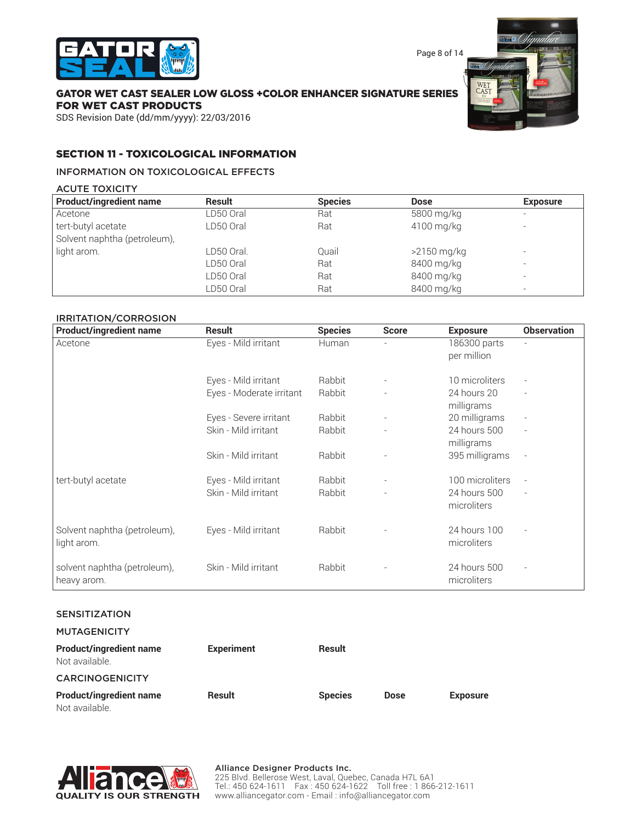

Page 8 of 14

### GATOR WET CAST SEALER LOW GLOSS +COLOR ENHANCER SIGNATURE SERIES FOR WET CAST PRODUCTS

SDS Revision Date (dd/mm/yyyy): 22/03/2016

### SECTION 11 - TOXICOLOGICAL INFORMATION

#### INFORMATION ON TOXICOLOGICAL EFFECTS

ACUTE TOXICITY

| <b>Product/ingredient name</b> | Result     | <b>Species</b> | <b>Dose</b>   | <b>Exposure</b>          |
|--------------------------------|------------|----------------|---------------|--------------------------|
| Acetone                        | LD50 Oral  | Rat            | 5800 mg/kg    |                          |
| tert-butyl acetate             | LD50 Oral  | Rat            | 4100 mg/kg    |                          |
| Solvent naphtha (petroleum),   |            |                |               |                          |
| light arom.                    | LD50 Oral. | Ouail          | $>2150$ mg/kg | -                        |
|                                | LD50 Oral  | Rat            | 8400 mg/kg    |                          |
|                                | LD50 Oral  | Rat            | 8400 mg/kg    | -                        |
|                                | LD50 Oral  | Rat            | 8400 mg/kg    | $\overline{\phantom{0}}$ |

#### IRRITATION/CORROSION

| <b>Product/ingredient name</b> | <b>Result</b>            | <b>Species</b> | <b>Score</b> | <b>Exposure</b> | <b>Observation</b> |
|--------------------------------|--------------------------|----------------|--------------|-----------------|--------------------|
| Acetone                        | Eyes - Mild irritant     | Human          |              | 186300 parts    |                    |
|                                |                          |                |              | per million     |                    |
|                                |                          |                |              |                 |                    |
|                                | Eyes - Mild irritant     | Rabbit         |              | 10 microliters  |                    |
|                                | Eyes - Moderate irritant | Rabbit         |              | 24 hours 20     |                    |
|                                |                          |                |              | milligrams      |                    |
|                                | Eyes - Severe irritant   | Rabbit         |              | 20 milligrams   |                    |
|                                | Skin - Mild irritant     | Rabbit         |              | 24 hours 500    |                    |
|                                |                          |                |              | milligrams      |                    |
|                                | Skin - Mild irritant     | Rabbit         |              | 395 milligrams  |                    |
|                                |                          |                |              |                 |                    |
| tert-butyl acetate             | Eyes - Mild irritant     | Rabbit         |              | 100 microliters |                    |
|                                | Skin - Mild irritant     | Rabbit         |              | 24 hours 500    |                    |
|                                |                          |                |              | microliters     |                    |
|                                |                          |                |              |                 |                    |
| Solvent naphtha (petroleum),   | Eyes - Mild irritant     | Rabbit         |              | 24 hours 100    |                    |
| light arom.                    |                          |                |              | microliters     |                    |
|                                |                          |                |              |                 |                    |
| solvent naphtha (petroleum),   | Skin - Mild irritant     | Rabbit         |              | 24 hours 500    |                    |
| heavy arom.                    |                          |                |              | microliters     |                    |
|                                |                          |                |              |                 |                    |

#### SENSITIZATION

**MUTAGENICITY** 

| <b>Product/ingredient name</b><br>Not available. | <b>Experiment</b> | Result         |             |                 |
|--------------------------------------------------|-------------------|----------------|-------------|-----------------|
| <b>CARCINOGENICITY</b>                           |                   |                |             |                 |
| <b>Product/ingredient name</b><br>Not available. | Result            | <b>Species</b> | <b>Dose</b> | <b>Exposure</b> |

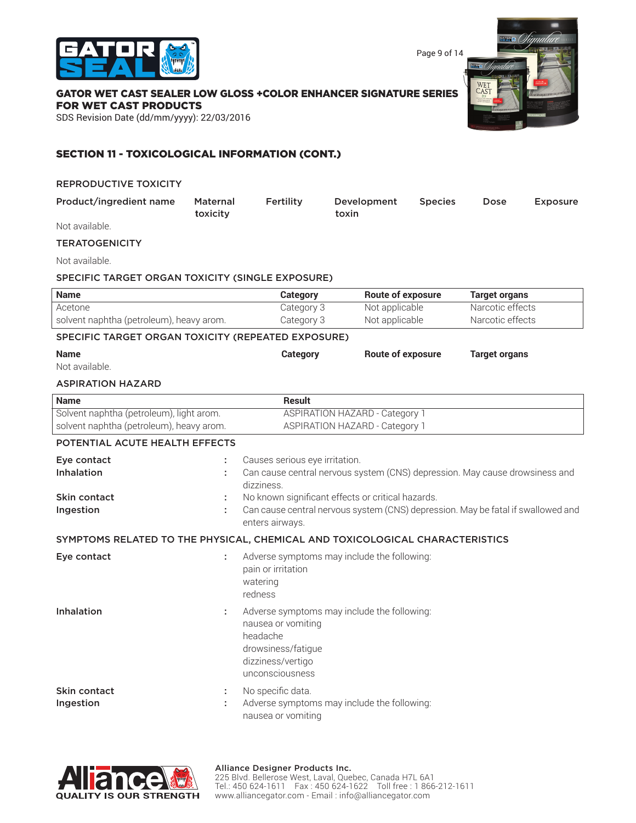

Page 9 of 14

#### GATOR WET CAST SEALER LOW GLOSS +COLOR ENHANCER SIGNATURE SERIES FOR WET CAST PRODUCTS

SDS Revision Date (dd/mm/yyyy): 22/03/2016

### SECTION 11 - TOXICOLOGICAL INFORMATION (CONT.)

| <b>REPRODUCTIVE TOXICITY</b>                                                         |                             |                                                                                              |                                                                                                                                                                                                                      |                |                                      |                 |
|--------------------------------------------------------------------------------------|-----------------------------|----------------------------------------------------------------------------------------------|----------------------------------------------------------------------------------------------------------------------------------------------------------------------------------------------------------------------|----------------|--------------------------------------|-----------------|
| Product/ingredient name                                                              | <b>Maternal</b><br>toxicity | Fertility                                                                                    | Development<br>toxin                                                                                                                                                                                                 | <b>Species</b> | Dose                                 | <b>Exposure</b> |
| Not available.                                                                       |                             |                                                                                              |                                                                                                                                                                                                                      |                |                                      |                 |
| <b>TERATOGENICITY</b>                                                                |                             |                                                                                              |                                                                                                                                                                                                                      |                |                                      |                 |
| Not available.                                                                       |                             |                                                                                              |                                                                                                                                                                                                                      |                |                                      |                 |
| SPECIFIC TARGET ORGAN TOXICITY (SINGLE EXPOSURE)                                     |                             |                                                                                              |                                                                                                                                                                                                                      |                |                                      |                 |
| <b>Name</b>                                                                          |                             | <b>Category</b>                                                                              | <b>Route of exposure</b>                                                                                                                                                                                             |                | <b>Target organs</b>                 |                 |
| Acetone<br>solvent naphtha (petroleum), heavy arom.                                  |                             | Category 3<br>Category 3                                                                     | Not applicable<br>Not applicable                                                                                                                                                                                     |                | Narcotic effects<br>Narcotic effects |                 |
| SPECIFIC TARGET ORGAN TOXICITY (REPEATED EXPOSURE)                                   |                             |                                                                                              |                                                                                                                                                                                                                      |                |                                      |                 |
| <b>Name</b><br>Not available.                                                        |                             | Category                                                                                     | <b>Route of exposure</b>                                                                                                                                                                                             |                | <b>Target organs</b>                 |                 |
| <b>ASPIRATION HAZARD</b>                                                             |                             |                                                                                              |                                                                                                                                                                                                                      |                |                                      |                 |
| <b>Name</b>                                                                          |                             | <b>Result</b>                                                                                |                                                                                                                                                                                                                      |                |                                      |                 |
| Solvent naphtha (petroleum), light arom.<br>solvent naphtha (petroleum), heavy arom. |                             |                                                                                              | <b>ASPIRATION HAZARD - Category 1</b><br><b>ASPIRATION HAZARD - Category 1</b>                                                                                                                                       |                |                                      |                 |
| POTENTIAL ACUTE HEALTH EFFECTS                                                       |                             |                                                                                              |                                                                                                                                                                                                                      |                |                                      |                 |
| Eye contact<br>Inhalation<br>Skin contact<br>Ingestion                               | t<br>÷<br>÷                 | Causes serious eye irritation.<br>dizziness.<br>enters airways.                              | Can cause central nervous system (CNS) depression. May cause drowsiness and<br>No known significant effects or critical hazards.<br>Can cause central nervous system (CNS) depression. May be fatal if swallowed and |                |                                      |                 |
| SYMPTOMS RELATED TO THE PHYSICAL, CHEMICAL AND TOXICOLOGICAL CHARACTERISTICS         |                             |                                                                                              |                                                                                                                                                                                                                      |                |                                      |                 |
| Eye contact                                                                          | t                           | pain or irritation<br>watering<br>redness                                                    | Adverse symptoms may include the following:                                                                                                                                                                          |                |                                      |                 |
| Inhalation                                                                           | ÷                           | nausea or vomiting<br>headache<br>drowsiness/fatigue<br>dizziness/vertigo<br>unconsciousness | Adverse symptoms may include the following:                                                                                                                                                                          |                |                                      |                 |
| Skin contact<br>Ingestion                                                            | ÷                           | No specific data.<br>nausea or vomiting                                                      | Adverse symptoms may include the following:                                                                                                                                                                          |                |                                      |                 |

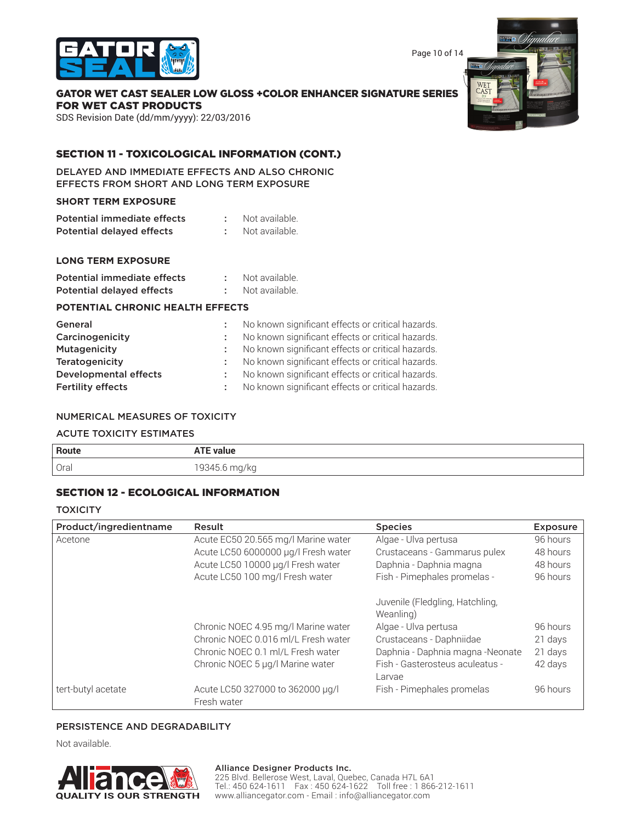

Page 10 of 14

## GATOR WET CAST SEALER LOW GLOSS +COLOR ENHANCER SIGNATURE SERIES FOR WET CAST PRODUCTS

SDS Revision Date (dd/mm/yyyy): 22/03/2016

### SECTION 11 - TOXICOLOGICAL INFORMATION (CONT.)

DELAYED AND IMMEDIATE EFFECTS AND ALSO CHRONIC EFFECTS FROM SHORT AND LONG TERM EXPOSURE

#### **SHORT TERM EXPOSURE**

| Potential immediate effects | Not available. |
|-----------------------------|----------------|
| Potential delayed effects   | Not available. |

### **LONG TERM EXPOSURE**

| Potential immediate effects      | Not available. |
|----------------------------------|----------------|
| <b>Potential delayed effects</b> | Not available. |

#### **POTENTIAL CHRONIC HEALTH EFFECTS**

| General                      | No known significant effects or critical hazards. |
|------------------------------|---------------------------------------------------|
| Carcinogenicity              | No known significant effects or critical hazards. |
| Mutagenicity                 | No known significant effects or critical hazards. |
| Teratogenicity               | No known significant effects or critical hazards. |
| <b>Developmental effects</b> | No known significant effects or critical hazards. |
| <b>Fertility effects</b>     | No known significant effects or critical hazards. |

#### NUMERICAL MEASURES OF TOXICITY

#### ACUTE TOXICITY ESTIMATES

| Route | <b>TEL</b><br>` value<br>ALL |
|-------|------------------------------|
| Oral  | 19345.6 m.<br>mg/kg          |

### SECTION 12 - ECOLOGICAL INFORMATION

**TOXICITY** 

| Product/ingredientname | Result                                          | <b>Species</b>                               | <b>Exposure</b> |
|------------------------|-------------------------------------------------|----------------------------------------------|-----------------|
| Acetone                | Acute EC50 20.565 mg/l Marine water             | Algae - Ulva pertusa                         | 96 hours        |
|                        | Acute LC50 6000000 µg/l Fresh water             | Crustaceans - Gammarus pulex                 | 48 hours        |
|                        | Acute LC50 10000 µg/l Fresh water               | Daphnia - Daphnia magna                      | 48 hours        |
|                        | Acute LC50 100 mg/l Fresh water                 | Fish - Pimephales promelas -                 | 96 hours        |
|                        |                                                 | Juvenile (Fledgling, Hatchling,<br>Weanling) |                 |
|                        | Chronic NOEC 4.95 mg/l Marine water             | Algae - Ulva pertusa                         | 96 hours        |
|                        | Chronic NOEC 0.016 ml/L Fresh water             | Crustaceans - Daphniidae                     | 21 days         |
|                        | Chronic NOEC 0.1 ml/L Fresh water               | Daphnia - Daphnia magna - Neonate            | 21 days         |
|                        | Chronic NOEC 5 µg/l Marine water                | Fish - Gasterosteus aculeatus -<br>Larvae    | 42 days         |
| tert-butyl acetate     | Acute LC50 327000 to 362000 µg/l<br>Fresh water | Fish - Pimephales promelas                   | 96 hours        |

#### PERSISTENCE AND DEGRADABILITY

Not available.

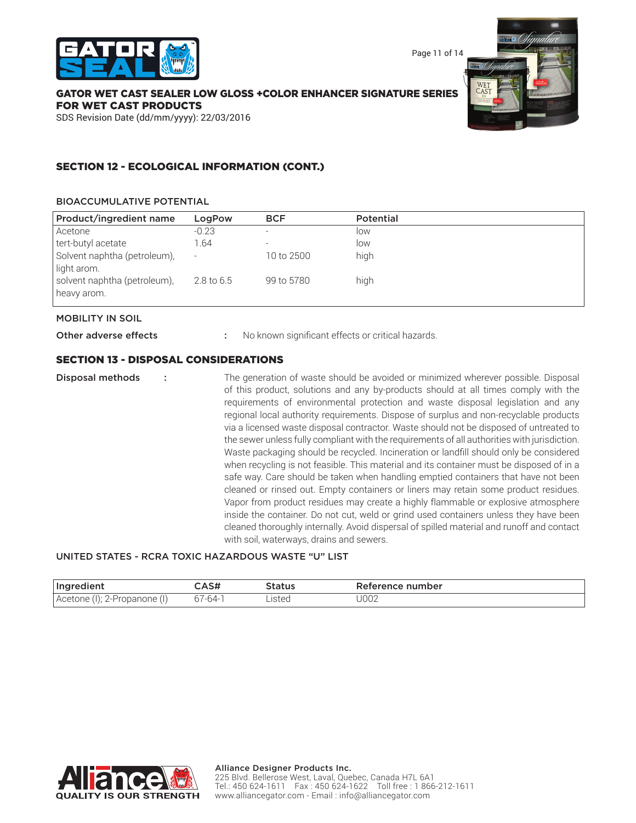

Page 11 of 14

### GATOR WET CAST SEALER LOW GLOSS +COLOR ENHANCER SIGNATURE SERIES FOR WET CAST PRODUCTS

SDS Revision Date (dd/mm/yyyy): 22/03/2016

### SECTION 12 - ECOLOGICAL INFORMATION (CONT.)

#### BIOACCUMULATIVE POTENTIAL

| Product/ingredient name                     | LogPow                   | <b>BCF</b> | <b>Potential</b> |  |
|---------------------------------------------|--------------------------|------------|------------------|--|
| Acetone                                     | $-0.23$                  |            | low              |  |
| tert-butyl acetate                          | 1.64                     |            | low              |  |
| Solvent naphtha (petroleum),<br>light arom. | $\overline{\phantom{a}}$ | 10 to 2500 | high             |  |
| solvent naphtha (petroleum),<br>heavy arom. | 2.8 to 6.5               | 99 to 5780 | high             |  |

#### MOBILITY IN SOIL

Other adverse effects : No known significant effects or critical hazards.

### SECTION 13 - DISPOSAL CONSIDERATIONS

**Disposal methods** : The generation of waste should be avoided or minimized wherever possible. Disposal of this product, solutions and any by-products should at all times comply with the requirements of environmental protection and waste disposal legislation and any regional local authority requirements. Dispose of surplus and non-recyclable products via a licensed waste disposal contractor. Waste should not be disposed of untreated to the sewer unless fully compliant with the requirements of all authorities with jurisdiction. Waste packaging should be recycled. Incineration or landfill should only be considered when recycling is not feasible. This material and its container must be disposed of in a safe way. Care should be taken when handling emptied containers that have not been cleaned or rinsed out. Empty containers or liners may retain some product residues. Vapor from product residues may create a highly flammable or explosive atmosphere inside the container. Do not cut, weld or grind used containers unless they have been cleaned thoroughly internally. Avoid dispersal of spilled material and runoff and contact with soil, waterways, drains and sewers.

### UNITED STATES - RCRA TOXIC HAZARDOUS WASTE "U" LIST

| Ingredient                       | :AS#    | itatus | Reference number |
|----------------------------------|---------|--------|------------------|
| Acetone (I<br>"" 2-Propanone (i) | 67-64-1 | listec | J002             |

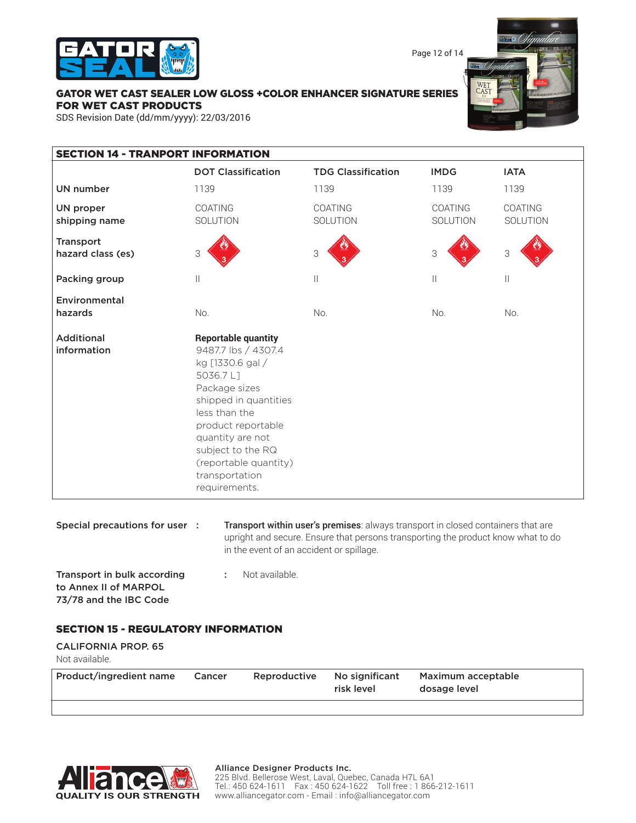

Page 12 of 14

### GATOR WET CAST SEALER LOW GLOSS +COLOR ENHANCER SIGNATURE SERIES FOR WET CAST PRODUCTS

SDS Revision Date (dd/mm/yyyy): 22/03/2016

| <b>SECTION 14 - TRANPORT INFORMATION</b> |                                                                                                                                                                                                                                                                         |                            |                     |                            |  |
|------------------------------------------|-------------------------------------------------------------------------------------------------------------------------------------------------------------------------------------------------------------------------------------------------------------------------|----------------------------|---------------------|----------------------------|--|
|                                          | <b>DOT Classification</b>                                                                                                                                                                                                                                               | <b>TDG Classification</b>  | <b>IMDG</b>         | <b>IATA</b>                |  |
| <b>UN number</b>                         | 1139                                                                                                                                                                                                                                                                    | 1139                       | 1139                | 1139                       |  |
| <b>UN proper</b><br>shipping name        | COATING<br>SOLUTION                                                                                                                                                                                                                                                     | <b>COATING</b><br>SOLUTION | COATING<br>SOLUTION | <b>COATING</b><br>SOLUTION |  |
| <b>Transport</b><br>hazard class (es)    | 3                                                                                                                                                                                                                                                                       | 3                          | 3                   | 3                          |  |
| Packing group                            | $\begin{array}{c} \hline \end{array}$                                                                                                                                                                                                                                   | $\vert\vert$               | $\vert\vert$        | $\vert\vert$               |  |
| Environmental<br>hazards                 | No.                                                                                                                                                                                                                                                                     | No.                        | No.                 | No.                        |  |
| <b>Additional</b><br>information         | <b>Reportable quantity</b><br>9487.7 lbs / 4307.4<br>kg [1330.6 gal /<br>5036.7L1<br>Package sizes<br>shipped in quantities<br>less than the<br>product reportable<br>quantity are not<br>subject to the RQ<br>(reportable quantity)<br>transportation<br>requirements. |                            |                     |                            |  |

| Special precautions for user : | <b>Transport within user's premises:</b> always transport in closed containers that are |
|--------------------------------|-----------------------------------------------------------------------------------------|
|                                | upright and secure. Ensure that persons transporting the product know what to do        |
|                                | in the event of an accident or spillage.                                                |
| Transport in bulk according    | Not available.                                                                          |

to Annex II of MARPOL 73/78 and the IBC Code

### SECTION 15 - REGULATORY INFORMATION

| <b>CALIFORNIA PROP. 65</b><br>Not available. |        |              |                              |                                    |
|----------------------------------------------|--------|--------------|------------------------------|------------------------------------|
| Product/ingredient name                      | Cancer | Reproductive | No significant<br>risk level | Maximum acceptable<br>dosage level |



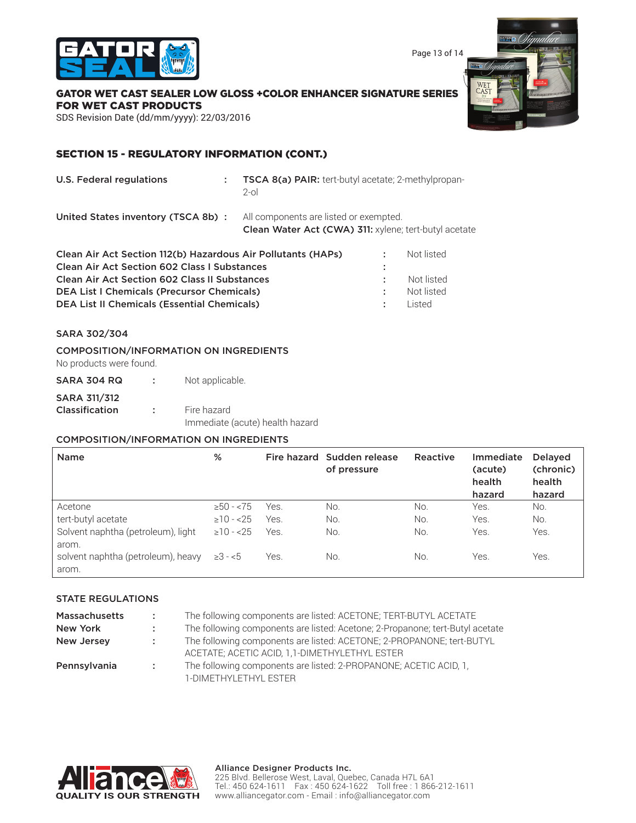



### GATOR WET CAST SEALER LOW GLOSS +COLOR ENHANCER SIGNATURE SERIES FOR WET CAST PRODUCTS

SDS Revision Date (dd/mm/yyyy): 22/03/2016

### SECTION 15 - REGULATORY INFORMATION (CONT.)

U.S. Federal regulations : TSCA 8(a) PAIR: tert-butyl acetate; 2-methylpropan-2-ol

United States inventory (TSCA 8b) : All components are listed or exempted.

Clean Water Act (CWA) 311: xylene; tert-butyl acetate

| Clean Air Act Section 112(b) Hazardous Air Pollutants (HAPs) |                 | Not listed |
|--------------------------------------------------------------|-----------------|------------|
| <b>Clean Air Act Section 602 Class I Substances</b>          |                 |            |
| <b>Clean Air Act Section 602 Class II Substances</b>         |                 | Not listed |
| <b>DEA List I Chemicals (Precursor Chemicals)</b>            | <b>A</b>        | Not listed |
| <b>DEA List II Chemicals (Essential Chemicals)</b>           | <b>Contract</b> | l isted    |
|                                                              |                 |            |

#### SARA 302/304

#### COMPOSITION/INFORMATION ON INGREDIENTS

No products were found.

| Not applicable.<br>SARA 304 RQ                                                                        |
|-------------------------------------------------------------------------------------------------------|
| <b>SARA 311/312</b><br>Fire hazard<br><b>Classification</b><br>. .<br>Immediate (acute) health hazard |

### COMPOSITION/INFORMATION ON INGREDIENTS

| <b>Name</b>                                          | %               |      | Fire hazard Sudden release<br>of pressure | Reactive | Immediate<br>(acute)<br>health<br>hazard | <b>Delayed</b><br>(chronic)<br>health<br>hazard |
|------------------------------------------------------|-----------------|------|-------------------------------------------|----------|------------------------------------------|-------------------------------------------------|
| Acetone                                              | $\geq 50 - 575$ | Yes. | No.                                       | No.      | Yes.                                     | No.                                             |
| tert-butyl acetate                                   | $\geq 10 - 25$  | Yes. | No.                                       | No.      | Yes.                                     | No.                                             |
| Solvent naphtha (petroleum), light                   | $\geq 10 - 25$  | Yes. | No.                                       | No.      | Yes.                                     | Yes.                                            |
| arom.<br>solvent naphtha (petroleum), heavy<br>arom. | $≥3 - <5$       | Yes. | No.                                       | No.      | Yes.                                     | Yes.                                            |

#### STATE REGULATIONS

| <b>Massachusetts</b> | <b>Contractor</b> | The following components are listed: ACETONE; TERT-BUTYL ACETATE                                                       |
|----------------------|-------------------|------------------------------------------------------------------------------------------------------------------------|
| New York             | di s              | The following components are listed: Acetone; 2-Propanone; tert-Butyl acetate                                          |
| New Jersey           | <b>COLL</b>       | The following components are listed: ACETONE; 2-PROPANONE; tert-BUTYL<br>ACETATE; ACETIC ACID, 1,1-DIMETHYLETHYL ESTER |
| Pennsylvania         | <b>Contractor</b> | The following components are listed: 2-PROPANONE; ACETIC ACID, 1,<br>1-DIMETHYLETHYL ESTER                             |



#### Alliance Designer Products Inc. 225 Blvd. Bellerose West, Laval, Quebec, Canada H7L 6A1 Tel.: 450 624-1611 Fax : 450 624-1622 Toll free : 1 866-212-1611 www.alliancegator.com - Email : info@alliancegator.com